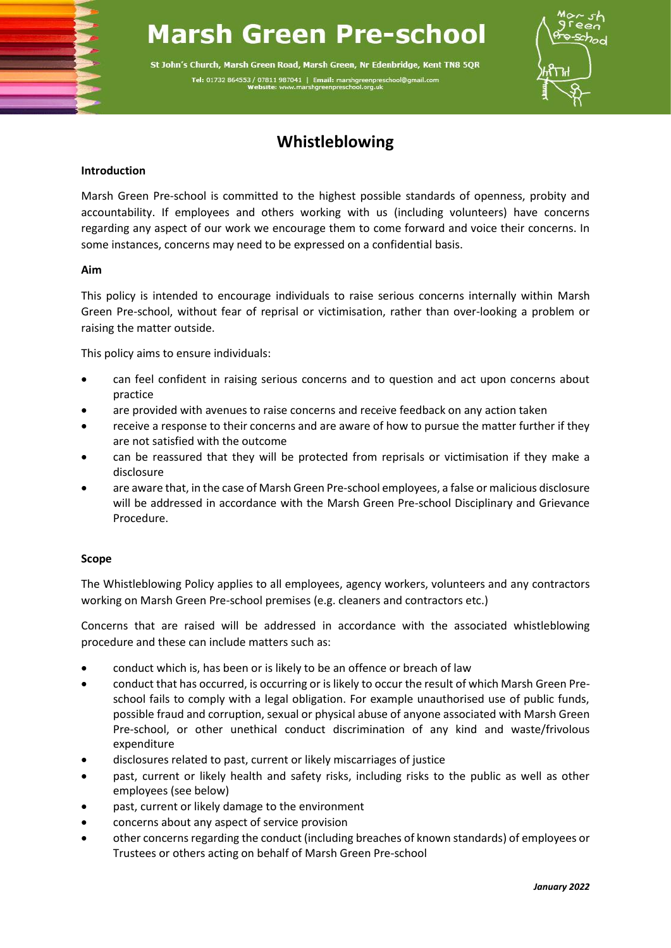# **Marsh Green Pre-school**

St John's Church, Marsh Green Road, Marsh Green, Nr Edenbridge, Kent TN8 5QR Tel: 01732 864553 / 07811 987041 | Email: marshgreenpresch



# **Whistleblowing**

# **Introduction**

Marsh Green Pre-school is committed to the highest possible standards of openness, probity and accountability. If employees and others working with us (including volunteers) have concerns regarding any aspect of our work we encourage them to come forward and voice their concerns. In some instances, concerns may need to be expressed on a confidential basis.

# **Aim**

This policy is intended to encourage individuals to raise serious concerns internally within Marsh Green Pre-school, without fear of reprisal or victimisation, rather than over-looking a problem or raising the matter outside.

This policy aims to ensure individuals:

- can feel confident in raising serious concerns and to question and act upon concerns about practice
- are provided with avenues to raise concerns and receive feedback on any action taken
- receive a response to their concerns and are aware of how to pursue the matter further if they are not satisfied with the outcome
- can be reassured that they will be protected from reprisals or victimisation if they make a disclosure
- are aware that, in the case of Marsh Green Pre-school employees, a false or malicious disclosure will be addressed in accordance with the Marsh Green Pre-school Disciplinary and Grievance Procedure.

# **Scope**

The Whistleblowing Policy applies to all employees, agency workers, volunteers and any contractors working on Marsh Green Pre-school premises (e.g. cleaners and contractors etc.)

Concerns that are raised will be addressed in accordance with the associated whistleblowing procedure and these can include matters such as:

- conduct which is, has been or is likely to be an offence or breach of law
- conduct that has occurred, is occurring or is likely to occur the result of which Marsh Green Preschool fails to comply with a legal obligation. For example unauthorised use of public funds, possible fraud and corruption, sexual or physical abuse of anyone associated with Marsh Green Pre-school, or other unethical conduct discrimination of any kind and waste/frivolous expenditure
- disclosures related to past, current or likely miscarriages of justice
- past, current or likely health and safety risks, including risks to the public as well as other employees (see below)
- past, current or likely damage to the environment
- concerns about any aspect of service provision
- other concerns regarding the conduct (including breaches of known standards) of employees or Trustees or others acting on behalf of Marsh Green Pre-school